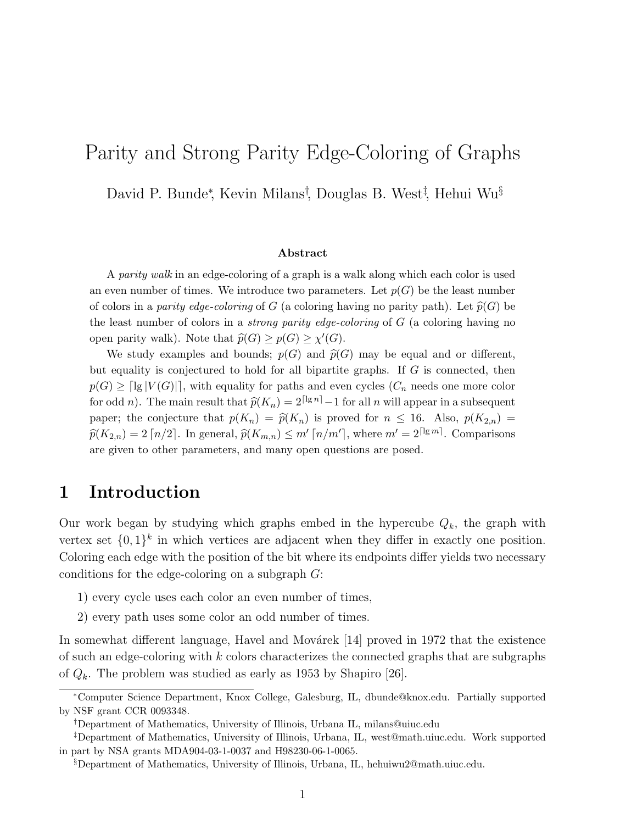# Parity and Strong Parity Edge-Coloring of Graphs

David P. Bunde<sup>∗</sup> , Kevin Milans† , Douglas B. West‡ , Hehui Wu§

#### Abstract

A parity walk in an edge-coloring of a graph is a walk along which each color is used an even number of times. We introduce two parameters. Let  $p(G)$  be the least number of colors in a parity edge-coloring of G (a coloring having no parity path). Let  $\widehat{p}(G)$  be the least number of colors in a *strong parity edge-coloring* of  $G$  (a coloring having no open parity walk). Note that  $\widehat{p}(G) \geq p(G) \geq \chi'(G)$ .

We study examples and bounds;  $p(G)$  and  $\widehat{p}(G)$  may be equal and or different, but equality is conjectured to hold for all bipartite graphs. If G is connected, then  $p(G) \geq \lceil \lg |V(G)| \rceil$ , with equality for paths and even cycles  $(C_n$  needs one more color for odd n). The main result that  $\hat{p}(K_n) = 2^{\lceil \lg n \rceil} - 1$  for all n will appear in a subsequent paper; the conjecture that  $p(K_n) = \hat{p}(K_n)$  is proved for  $n \leq 16$ . Also,  $p(K_{2,n}) =$  $\widehat{p}(K_{2,n}) = 2 \lceil n/2 \rceil$ . In general,  $\widehat{p}(K_{m,n}) \le m' \lceil n/m' \rceil$ , where  $m' = 2^{\lceil \lg m \rceil}$ . Comparisons are given to other parameters, and many open questions are posed.

### 1 Introduction

Our work began by studying which graphs embed in the hypercube  $Q_k$ , the graph with vertex set  $\{0,1\}^k$  in which vertices are adjacent when they differ in exactly one position. Coloring each edge with the position of the bit where its endpoints differ yields two necessary conditions for the edge-coloring on a subgraph G:

- 1) every cycle uses each color an even number of times,
- 2) every path uses some color an odd number of times.

In somewhat different language, Havel and Movárek  $[14]$  proved in 1972 that the existence of such an edge-coloring with  $k$  colors characterizes the connected graphs that are subgraphs of  $Q_k$ . The problem was studied as early as 1953 by Shapiro [26].

<sup>∗</sup>Computer Science Department, Knox College, Galesburg, IL, dbunde@knox.edu. Partially supported by NSF grant CCR 0093348.

<sup>†</sup>Department of Mathematics, University of Illinois, Urbana IL, milans@uiuc.edu

<sup>‡</sup>Department of Mathematics, University of Illinois, Urbana, IL, west@math.uiuc.edu. Work supported in part by NSA grants MDA904-03-1-0037 and H98230-06-1-0065.

<sup>§</sup>Department of Mathematics, University of Illinois, Urbana, IL, hehuiwu2@math.uiuc.edu.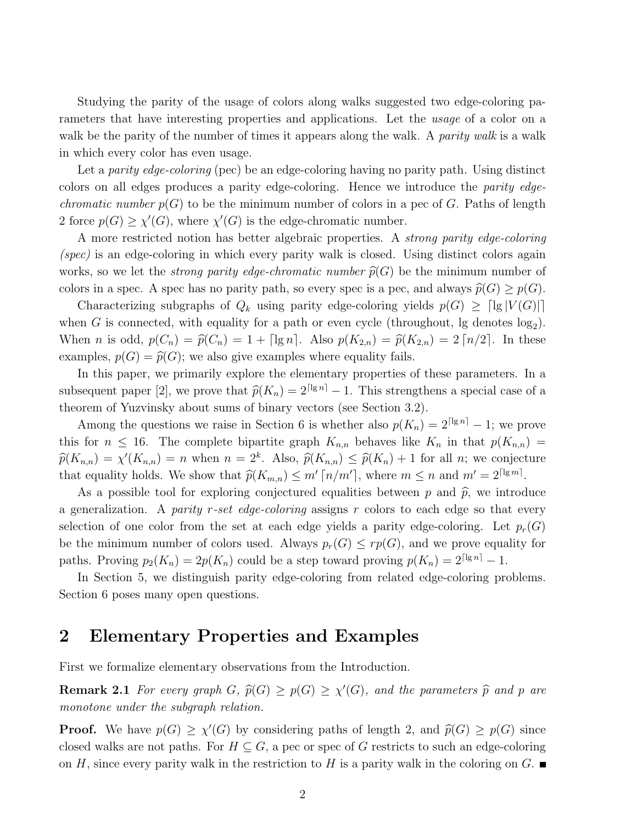Studying the parity of the usage of colors along walks suggested two edge-coloring parameters that have interesting properties and applications. Let the usage of a color on a walk be the parity of the number of times it appears along the walk. A *parity walk* is a walk in which every color has even usage.

Let a *parity edge-coloring* (pec) be an edge-coloring having no parity path. Using distinct colors on all edges produces a parity edge-coloring. Hence we introduce the parity edge*chromatic number*  $p(G)$  to be the minimum number of colors in a pec of G. Paths of length 2 force  $p(G) \ge \chi'(G)$ , where  $\chi'(G)$  is the edge-chromatic number.

A more restricted notion has better algebraic properties. A strong parity edge-coloring (spec) is an edge-coloring in which every parity walk is closed. Using distinct colors again works, so we let the *strong parity edge-chromatic number*  $\widehat{p}(G)$  be the minimum number of colors in a spec. A spec has no parity path, so every spec is a pec, and always  $\widehat{p}(G) \geq p(G)$ .

Characterizing subgraphs of  $Q_k$  using parity edge-coloring yields  $p(G) \geq \lceil \lg |V(G)| \rceil$ when G is connected, with equality for a path or even cycle (throughout, lg denotes  $log_2$ ). When *n* is odd,  $p(C_n) = \hat{p}(C_n) = 1 + \lceil \lg n \rceil$ . Also  $p(K_{2,n}) = \hat{p}(K_{2,n}) = 2 \lceil n/2 \rceil$ . In these examples,  $p(G) = \hat{p}(G)$ ; we also give examples where equality fails.

In this paper, we primarily explore the elementary properties of these parameters. In a subsequent paper [2], we prove that  $\hat{p}(K_n) = 2^{\lceil \lg n \rceil} - 1$ . This strengthens a special case of a theorem of Yuzvinsky about sums of binary vectors (see Section 3.2).

Among the questions we raise in Section 6 is whether also  $p(K_n) = 2^{\lceil \lg n \rceil} - 1$ ; we prove this for  $n \leq 16$ . The complete bipartite graph  $K_{n,n}$  behaves like  $K_n$  in that  $p(K_{n,n}) =$  $\widehat{p}(K_{n,n}) = \chi'(K_{n,n}) = n$  when  $n = 2^k$ . Also,  $\widehat{p}(K_{n,n}) \leq \widehat{p}(K_n) + 1$  for all n; we conjecture that equality holds. We show that  $\widehat{p}(K_{m,n}) \leq m' \lceil n/m' \rceil$ , where  $m \leq n$  and  $m' = 2^{\lceil \lg m \rceil}$ .

As a possible tool for exploring conjectured equalities between p and  $\hat{p}$ , we introduce a generalization. A parity r-set edge-coloring assigns r colors to each edge so that every selection of one color from the set at each edge yields a parity edge-coloring. Let  $p_r(G)$ be the minimum number of colors used. Always  $p_r(G) \leq rp(G)$ , and we prove equality for paths. Proving  $p_2(K_n) = 2p(K_n)$  could be a step toward proving  $p(K_n) = 2^{\lceil \lg n \rceil} - 1$ .

In Section 5, we distinguish parity edge-coloring from related edge-coloring problems. Section 6 poses many open questions.

### 2 Elementary Properties and Examples

First we formalize elementary observations from the Introduction.

**Remark 2.1** For every graph  $G$ ,  $\hat{p}(G) \geq p(G) \geq \chi'(G)$ , and the parameters  $\hat{p}$  and p are monotone under the subgraph relation.

**Proof.** We have  $p(G) \ge \chi'(G)$  by considering paths of length 2, and  $\widehat{p}(G) \ge p(G)$  since closed walks are not paths. For  $H \subseteq G$ , a pec or spec of G restricts to such an edge-coloring on H, since every parity walk in the restriction to H is a parity walk in the coloring on G.  $\blacksquare$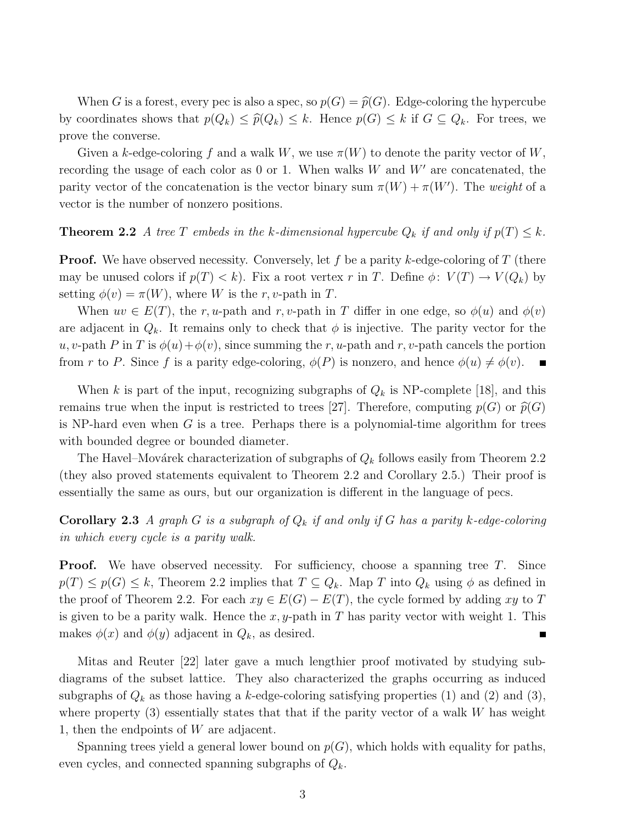When G is a forest, every pec is also a spec, so  $p(G) = \hat{p}(G)$ . Edge-coloring the hypercube by coordinates shows that  $p(Q_k) \leq \hat{p}(Q_k) \leq k$ . Hence  $p(G) \leq k$  if  $G \subseteq Q_k$ . For trees, we prove the converse.

Given a k-edge-coloring f and a walk W, we use  $\pi(W)$  to denote the parity vector of W, recording the usage of each color as  $0$  or 1. When walks W and  $W'$  are concatenated, the parity vector of the concatenation is the vector binary sum  $\pi(W) + \pi(W')$ . The weight of a vector is the number of nonzero positions.

#### **Theorem 2.2** A tree T embeds in the k-dimensional hypercube  $Q_k$  if and only if  $p(T) \leq k$ .

**Proof.** We have observed necessity. Conversely, let f be a parity k-edge-coloring of T (there may be unused colors if  $p(T) < k$ ). Fix a root vertex r in T. Define  $\phi: V(T) \to V(Q_k)$  by setting  $\phi(v) = \pi(W)$ , where W is the r, v-path in T.

When  $uv \in E(T)$ , the r, u-path and r, v-path in T differ in one edge, so  $\phi(u)$  and  $\phi(v)$ are adjacent in  $Q_k$ . It remains only to check that  $\phi$  is injective. The parity vector for the u, v-path P in T is  $\phi(u)+\phi(v)$ , since summing the r, u-path and r, v-path cancels the portion from r to P. Since f is a parity edge-coloring,  $\phi(P)$  is nonzero, and hence  $\phi(u) \neq \phi(v)$ .  $\blacksquare$ 

When k is part of the input, recognizing subgraphs of  $Q_k$  is NP-complete [18], and this remains true when the input is restricted to trees [27]. Therefore, computing  $p(G)$  or  $\widehat{p}(G)$ is NP-hard even when  $G$  is a tree. Perhaps there is a polynomial-time algorithm for trees with bounded degree or bounded diameter.

The Havel–Movárek characterization of subgraphs of  $Q_k$  follows easily from Theorem 2.2 (they also proved statements equivalent to Theorem 2.2 and Corollary 2.5.) Their proof is essentially the same as ours, but our organization is different in the language of pecs.

**Corollary 2.3** A graph G is a subgraph of  $Q_k$  if and only if G has a parity k-edge-coloring in which every cycle is a parity walk.

**Proof.** We have observed necessity. For sufficiency, choose a spanning tree T. Since  $p(T) \leq p(G) \leq k$ , Theorem 2.2 implies that  $T \subseteq Q_k$ . Map T into  $Q_k$  using  $\phi$  as defined in the proof of Theorem 2.2. For each  $xy \in E(G) - E(T)$ , the cycle formed by adding xy to T is given to be a parity walk. Hence the  $x, y$ -path in T has parity vector with weight 1. This makes  $\phi(x)$  and  $\phi(y)$  adjacent in  $Q_k$ , as desired.

Mitas and Reuter [22] later gave a much lengthier proof motivated by studying subdiagrams of the subset lattice. They also characterized the graphs occurring as induced subgraphs of  $Q_k$  as those having a k-edge-coloring satisfying properties (1) and (2) and (3), where property  $(3)$  essentially states that that if the parity vector of a walk W has weight 1, then the endpoints of W are adjacent.

Spanning trees yield a general lower bound on  $p(G)$ , which holds with equality for paths, even cycles, and connected spanning subgraphs of  $Q_k$ .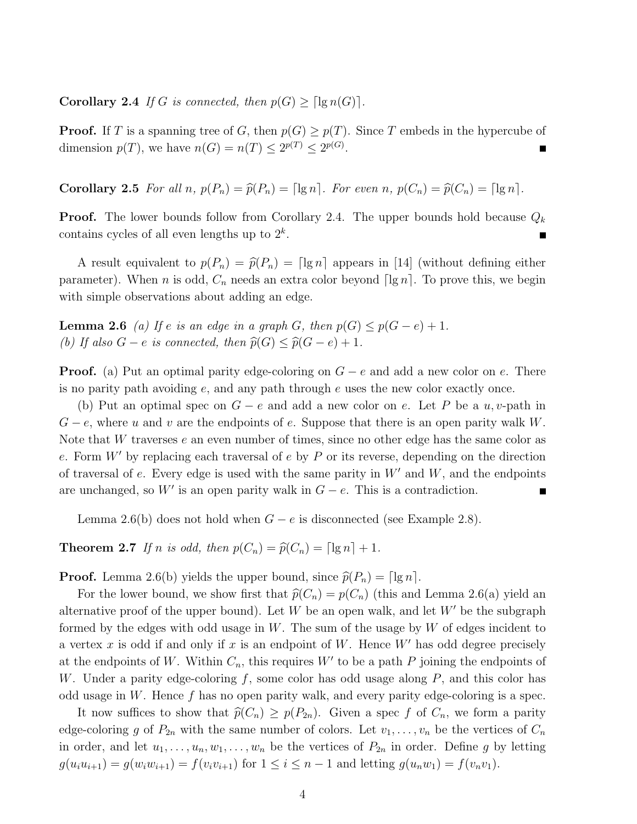**Corollary 2.4** If G is connected, then  $p(G) \geq \lceil \lg n(G) \rceil$ .

**Proof.** If T is a spanning tree of G, then  $p(G) \geq p(T)$ . Since T embeds in the hypercube of dimension  $p(T)$ , we have  $n(G) = n(T) \leq 2^{p(T)} \leq 2^{p(G)}$ .

**Corollary 2.5** For all n,  $p(P_n) = \hat{p}(P_n) = \lceil \lg n \rceil$ . For even n,  $p(C_n) = \hat{p}(C_n) = \lceil \lg n \rceil$ .

**Proof.** The lower bounds follow from Corollary 2.4. The upper bounds hold because  $Q_k$ contains cycles of all even lengths up to  $2^k$ .

A result equivalent to  $p(P_n) = \hat{p}(P_n) = \lceil \lg n \rceil$  appears in [14] (without defining either parameter). When n is odd,  $C_n$  needs an extra color beyond  $\lceil \lg n \rceil$ . To prove this, we begin with simple observations about adding an edge.

**Lemma 2.6** (a) If e is an edge in a graph G, then  $p(G) \leq p(G - e) + 1$ . (b) If also  $G - e$  is connected, then  $\widehat{p}(G) \leq \widehat{p}(G - e) + 1$ .

**Proof.** (a) Put an optimal parity edge-coloring on  $G - e$  and add a new color on e. There is no parity path avoiding e, and any path through e uses the new color exactly once.

(b) Put an optimal spec on  $G - e$  and add a new color on e. Let P be a u, v-path in  $G - e$ , where u and v are the endpoints of e. Suppose that there is an open parity walk W. Note that W traverses e an even number of times, since no other edge has the same color as e. Form  $W'$  by replacing each traversal of e by P or its reverse, depending on the direction of traversal of e. Every edge is used with the same parity in  $W'$  and  $W$ , and the endpoints are unchanged, so  $W'$  is an open parity walk in  $G - e$ . This is a contradiction.

Lemma 2.6(b) does not hold when  $G - e$  is disconnected (see Example 2.8).

**Theorem 2.7** If n is odd, then  $p(C_n) = \widehat{p}(C_n) = \lceil \lg n \rceil + 1$ .

**Proof.** Lemma 2.6(b) yields the upper bound, since  $\hat{p}(P_n) = \lceil \lg n \rceil$ .

For the lower bound, we show first that  $\hat{p}(C_n) = p(C_n)$  (this and Lemma 2.6(a) yield an alternative proof of the upper bound). Let  $W$  be an open walk, and let  $W'$  be the subgraph formed by the edges with odd usage in W. The sum of the usage by W of edges incident to a vertex x is odd if and only if x is an endpoint of W. Hence  $W'$  has odd degree precisely at the endpoints of W. Within  $C_n$ , this requires W' to be a path P joining the endpoints of W. Under a parity edge-coloring  $f$ , some color has odd usage along  $P$ , and this color has odd usage in W. Hence f has no open parity walk, and every parity edge-coloring is a spec.

It now suffices to show that  $\widehat{p}(C_n) \geq p(P_{2n})$ . Given a spec f of  $C_n$ , we form a parity edge-coloring g of  $P_{2n}$  with the same number of colors. Let  $v_1, \ldots, v_n$  be the vertices of  $C_n$ in order, and let  $u_1, \ldots, u_n, w_1, \ldots, w_n$  be the vertices of  $P_{2n}$  in order. Define g by letting  $g(u_iu_{i+1}) = g(w_iw_{i+1}) = f(v_iv_{i+1})$  for  $1 \le i \le n-1$  and letting  $g(u_nw_1) = f(v_nv_1)$ .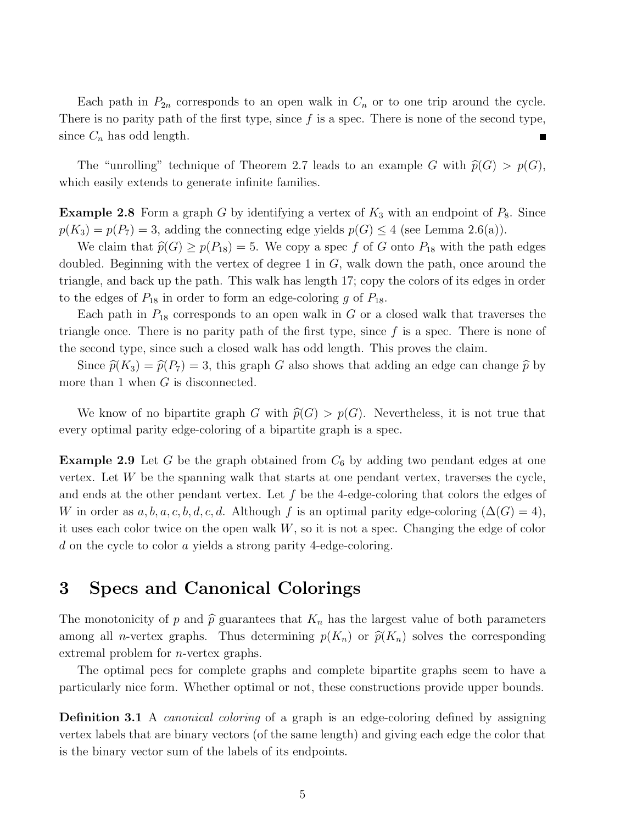Each path in  $P_{2n}$  corresponds to an open walk in  $C_n$  or to one trip around the cycle. There is no parity path of the first type, since  $f$  is a spec. There is none of the second type, since  $C_n$  has odd length.

The "unrolling" technique of Theorem 2.7 leads to an example G with  $\hat{p}(G) > p(G)$ , which easily extends to generate infinite families.

**Example 2.8** Form a graph G by identifying a vertex of  $K_3$  with an endpoint of  $P_8$ . Since  $p(K_3) = p(P_7) = 3$ , adding the connecting edge yields  $p(G) \leq 4$  (see Lemma 2.6(a)).

We claim that  $\widehat{p}(G) \geq p(P_{18}) = 5$ . We copy a spec f of G onto  $P_{18}$  with the path edges doubled. Beginning with the vertex of degree 1 in  $G$ , walk down the path, once around the triangle, and back up the path. This walk has length 17; copy the colors of its edges in order to the edges of  $P_{18}$  in order to form an edge-coloring g of  $P_{18}$ .

Each path in  $P_{18}$  corresponds to an open walk in  $G$  or a closed walk that traverses the triangle once. There is no parity path of the first type, since  $f$  is a spec. There is none of the second type, since such a closed walk has odd length. This proves the claim.

Since  $\hat{p}(K_3) = \hat{p}(P_7) = 3$ , this graph G also shows that adding an edge can change  $\hat{p}$  by more than 1 when  $G$  is disconnected.

We know of no bipartite graph G with  $\widehat{p}(G) > p(G)$ . Nevertheless, it is not true that every optimal parity edge-coloring of a bipartite graph is a spec.

**Example 2.9** Let G be the graph obtained from  $C_6$  by adding two pendant edges at one vertex. Let  $W$  be the spanning walk that starts at one pendant vertex, traverses the cycle, and ends at the other pendant vertex. Let  $f$  be the 4-edge-coloring that colors the edges of W in order as  $a, b, a, c, b, d, c, d$ . Although f is an optimal parity edge-coloring  $(\Delta(G) = 4)$ , it uses each color twice on the open walk  $W$ , so it is not a spec. Changing the edge of color d on the cycle to color a yields a strong parity 4-edge-coloring.

# 3 Specs and Canonical Colorings

The monotonicity of p and  $\hat{p}$  guarantees that  $K_n$  has the largest value of both parameters among all *n*-vertex graphs. Thus determining  $p(K_n)$  or  $\hat{p}(K_n)$  solves the corresponding extremal problem for n-vertex graphs.

The optimal pecs for complete graphs and complete bipartite graphs seem to have a particularly nice form. Whether optimal or not, these constructions provide upper bounds.

**Definition 3.1** A *canonical coloring* of a graph is an edge-coloring defined by assigning vertex labels that are binary vectors (of the same length) and giving each edge the color that is the binary vector sum of the labels of its endpoints.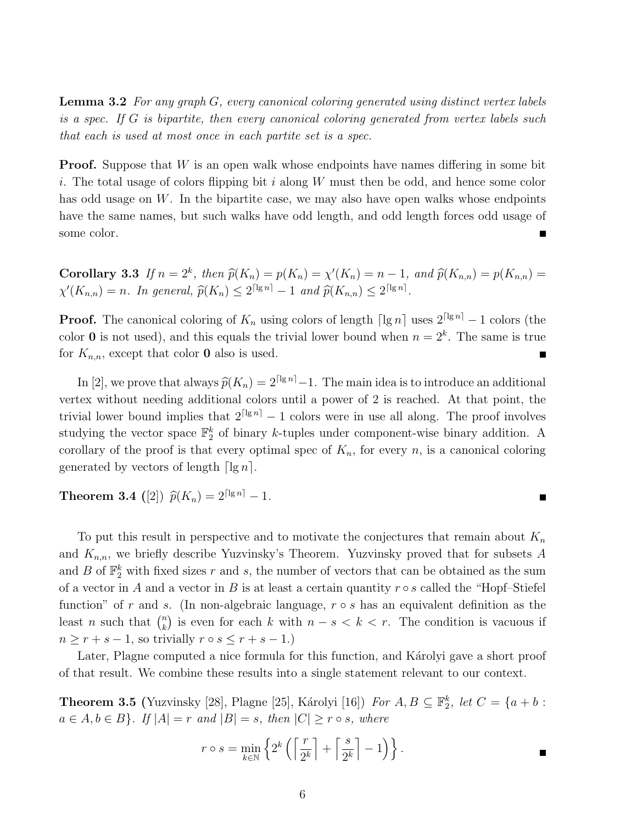Lemma 3.2 For any graph G, every canonical coloring generated using distinct vertex labels is a spec. If G is bipartite, then every canonical coloring generated from vertex labels such that each is used at most once in each partite set is a spec.

**Proof.** Suppose that  $W$  is an open walk whose endpoints have names differing in some bit i. The total usage of colors flipping bit i along  $W$  must then be odd, and hence some color has odd usage on  $W$ . In the bipartite case, we may also have open walks whose endpoints have the same names, but such walks have odd length, and odd length forces odd usage of some color.

**Corollary 3.3** If  $n = 2^k$ , then  $\hat{p}(K_n) = p(K_n) = \chi'(K_n) = n - 1$ , and  $\hat{p}(K_{n,n}) = p(K_{n,n}) = \chi'(K_n)$  $\chi'(K_{n,n}) = n$ . In general,  $\widehat{p}(K_n) \leq 2^{\lceil \lg n \rceil} - 1$  and  $\widehat{p}(K_{n,n}) \leq 2^{\lceil \lg n \rceil}$ .

**Proof.** The canonical coloring of  $K_n$  using colors of length  $\lceil \lg n \rceil$  uses  $2^{\lceil \lg n \rceil} - 1$  colors (the color 0 is not used), and this equals the trivial lower bound when  $n = 2<sup>k</sup>$ . The same is true for  $K_{n,n}$ , except that color **0** also is used.

In [2], we prove that always  $\widehat{p}(K_n) = 2^{\lceil \lg n \rceil} - 1$ . The main idea is to introduce an additional vertex without needing additional colors until a power of 2 is reached. At that point, the trivial lower bound implies that  $2^{\lceil \lg n \rceil} - 1$  colors were in use all along. The proof involves studying the vector space  $\mathbb{F}_2^k$  of binary k-tuples under component-wise binary addition. A corollary of the proof is that every optimal spec of  $K_n$ , for every n, is a canonical coloring generated by vectors of length  $|\lg n|$ .

**Theorem 3.4** ([2])  $\hat{p}(K_n) = 2^{\lceil \lg n \rceil} - 1$ .

To put this result in perspective and to motivate the conjectures that remain about  $K_n$ and  $K_{n,n}$ , we briefly describe Yuzvinsky's Theorem. Yuzvinsky proved that for subsets A and B of  $\mathbb{F}_2^k$  with fixed sizes r and s, the number of vectors that can be obtained as the sum of a vector in A and a vector in B is at least a certain quantity  $r \circ s$  called the "Hopf-Stiefel" function" of r and s. (In non-algebraic language,  $r \circ s$  has an equivalent definition as the least *n* such that  $\binom{n}{k}$  $\binom{n}{k}$  is even for each k with  $n - s < k < r$ . The condition is vacuous if  $n \geq r + s - 1$ , so trivially  $r \circ s \leq r + s - 1$ .)

Later, Plagne computed a nice formula for this function, and Karolyi gave a short proof of that result. We combine these results into a single statement relevant to our context.

**Theorem 3.5** (Yuzvinsky [28], Plagne [25], Károlyi [16]) For  $A, B \subseteq \mathbb{F}_2^k$ , let  $C = \{a + b :$  $a \in A, b \in B$ . If  $|A| = r$  and  $|B| = s$ , then  $|C| \ge r \circ s$ , where

$$
r \circ s = \min_{k \in \mathbb{N}} \left\{ 2^k \left( \left\lceil \frac{r}{2^k} \right\rceil + \left\lceil \frac{s}{2^k} \right\rceil - 1 \right) \right\}.
$$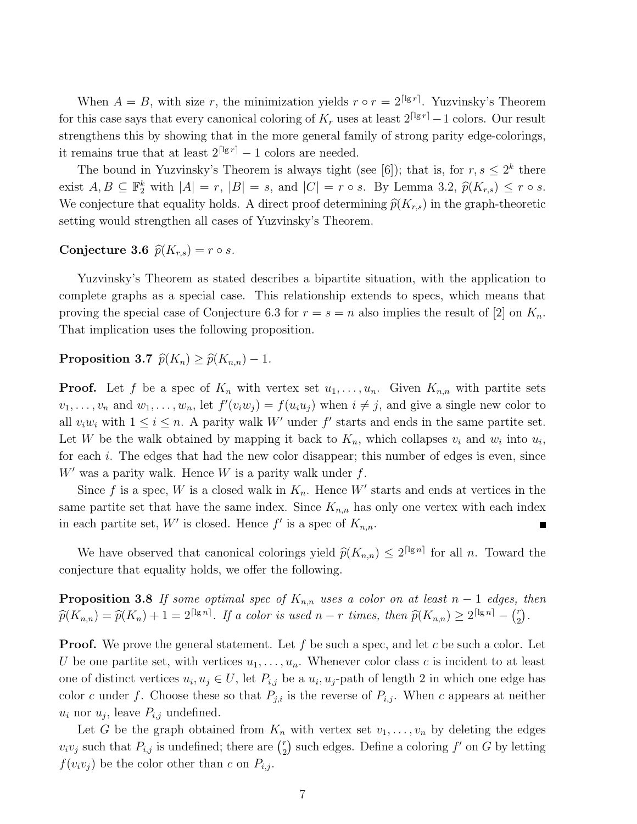When  $A = B$ , with size r, the minimization yields  $r \circ r = 2^{\lceil \lg r \rceil}$ . Yuzvinsky's Theorem for this case says that every canonical coloring of  $K_r$  uses at least  $2^{\lceil \lg r \rceil} - 1$  colors. Our result strengthens this by showing that in the more general family of strong parity edge-colorings, it remains true that at least  $2^{\lceil \lg r \rceil} - 1$  colors are needed.

The bound in Yuzvinsky's Theorem is always tight (see [6]); that is, for  $r, s \leq 2^k$  there exist  $A, B \subseteq \mathbb{F}_2^k$  with  $|A| = r$ ,  $|B| = s$ , and  $|C| = r \circ s$ . By Lemma 3.2,  $\widehat{p}(K_{r,s}) \le r \circ s$ . We conjecture that equality holds. A direct proof determining  $\hat{p}(K_{r,s})$  in the graph-theoretic setting would strengthen all cases of Yuzvinsky's Theorem.

#### Conjecture 3.6  $\widehat{p}(K_{r,s}) = r \circ s$ .

Yuzvinsky's Theorem as stated describes a bipartite situation, with the application to complete graphs as a special case. This relationship extends to specs, which means that proving the special case of Conjecture 6.3 for  $r = s = n$  also implies the result of [2] on  $K_n$ . That implication uses the following proposition.

#### Proposition 3.7  $\widehat{p}(K_n) \geq \widehat{p}(K_{n,n}) - 1$ .

**Proof.** Let f be a spec of  $K_n$  with vertex set  $u_1, \ldots, u_n$ . Given  $K_{n,n}$  with partite sets  $v_1, \ldots, v_n$  and  $w_1, \ldots, w_n$ , let  $f'(v_iw_j) = f(u_iu_j)$  when  $i \neq j$ , and give a single new color to all  $v_i w_i$  with  $1 \leq i \leq n$ . A parity walk W' under f' starts and ends in the same partite set. Let W be the walk obtained by mapping it back to  $K_n$ , which collapses  $v_i$  and  $w_i$  into  $u_i$ , for each i. The edges that had the new color disappear; this number of edges is even, since  $W'$  was a parity walk. Hence  $W$  is a parity walk under  $f$ .

Since f is a spec, W is a closed walk in  $K_n$ . Hence W' starts and ends at vertices in the same partite set that have the same index. Since  $K_{n,n}$  has only one vertex with each index in each partite set, W' is closed. Hence  $f'$  is a spec of  $K_{n,n}$ . П

We have observed that canonical colorings yield  $\hat{p}(K_{n,n}) \leq 2^{\lceil \lg n \rceil}$  for all n. Toward the conjecture that equality holds, we offer the following.

**Proposition 3.8** If some optimal spec of  $K_{n,n}$  uses a color on at least n – 1 edges, then  $\widehat{p}(K_{n,n}) = \widehat{p}(K_n) + 1 = 2^{\lceil \lg n \rceil}$ . If a color is used  $n-r$  times, then  $\widehat{p}(K_{n,n}) \ge 2^{\lceil \lg n \rceil} - {r \choose 2}$  $\binom{r}{2}$ .

**Proof.** We prove the general statement. Let f be such a spec, and let c be such a color. Let U be one partite set, with vertices  $u_1, \ldots, u_n$ . Whenever color class c is incident to at least one of distinct vertices  $u_i, u_j \in U$ , let  $P_{i,j}$  be a  $u_i, u_j$ -path of length 2 in which one edge has color c under f. Choose these so that  $P_{j,i}$  is the reverse of  $P_{i,j}$ . When c appears at neither  $u_i$  nor  $u_j$ , leave  $P_{i,j}$  undefined.

Let G be the graph obtained from  $K_n$  with vertex set  $v_1, \ldots, v_n$  by deleting the edges  $v_i v_j$  such that  $P_{i,j}$  is undefined; there are  $\binom{r}{2}$  $\binom{r}{2}$  such edges. Define a coloring  $f'$  on G by letting  $f(v_i v_j)$  be the color other than c on  $P_{i,j}$ .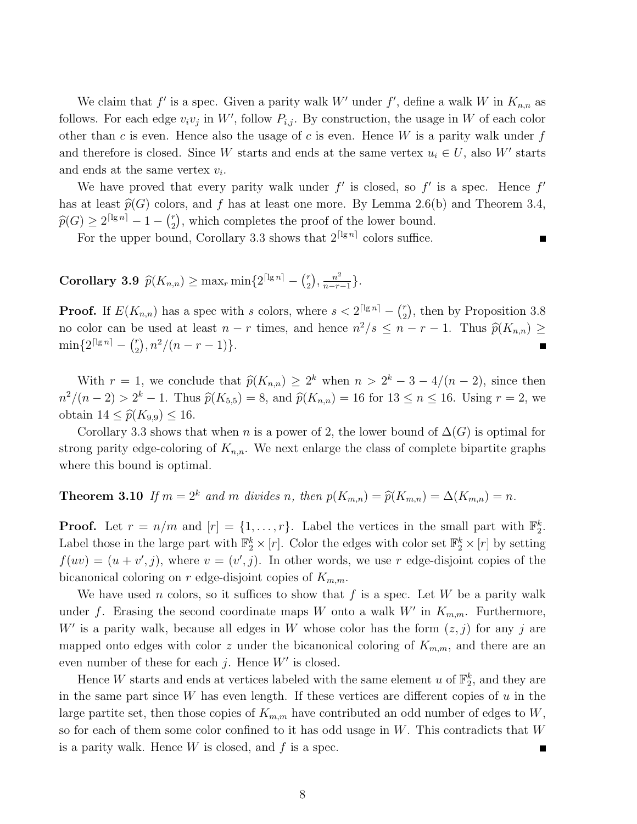We claim that  $f'$  is a spec. Given a parity walk W' under  $f'$ , define a walk W in  $K_{n,n}$  as follows. For each edge  $v_i v_j$  in W', follow  $P_{i,j}$ . By construction, the usage in W of each color other than c is even. Hence also the usage of c is even. Hence  $W$  is a parity walk under  $f$ and therefore is closed. Since W starts and ends at the same vertex  $u_i \in U$ , also W' starts and ends at the same vertex  $v_i$ .

We have proved that every parity walk under  $f'$  is closed, so  $f'$  is a spec. Hence  $f'$ has at least  $\widehat{p}(G)$  colors, and f has at least one more. By Lemma 2.6(b) and Theorem 3.4,  $\widehat{p}(G) \ge 2^{\lceil \lg n \rceil} - 1 - {r \choose 2}$  $\binom{r}{2}$ , which completes the proof of the lower bound.

For the upper bound, Corollary 3.3 shows that  $2^{\lceil \lg n \rceil}$  colors suffice.

Corollary 3.9  $\widehat{p}(K_{n,n}) \ge \max_r \min\{2^{\lceil \lg n \rceil} - {r \choose 2} \}$  $\binom{r}{2}, \frac{n^2}{n-r}$  $\frac{n^2}{n-r-1}\}$ .

**Proof.** If  $E(K_{n,n})$  has a spec with s colors, where  $s < 2^{\lceil \lg n \rceil} - \binom{r}{2}$  $\binom{r}{2}$ , then by Proposition 3.8 no color can be used at least  $n - r$  times, and hence  $n^2/s \leq n - r - 1$ . Thus  $\widehat{p}(K_{n,n}) \geq$  $\min\{2^{\lceil \lg n \rceil} - \binom{r}{2} \}$  $\binom{r}{2}, n^2/(n-r-1)$ .

With  $r = 1$ , we conclude that  $\hat{p}(K_{n,n}) \geq 2^k$  when  $n > 2^k - 3 - 4/(n-2)$ , since then  $n^2/(n-2) > 2^k - 1$ . Thus  $\hat{p}(K_{5,5}) = 8$ , and  $\hat{p}(K_{n,n}) = 16$  for  $13 \le n \le 16$ . Using  $r = 2$ , we obtain  $14 \leq \widehat{p}(K_{9,9}) \leq 16$ .

Corollary 3.3 shows that when n is a power of 2, the lower bound of  $\Delta(G)$  is optimal for strong parity edge-coloring of  $K_{n,n}$ . We next enlarge the class of complete bipartite graphs where this bound is optimal.

### **Theorem 3.10** If  $m = 2^k$  and m divides n, then  $p(K_{m,n}) = \hat{p}(K_{m,n}) = \Delta(K_{m,n}) = n$ .

**Proof.** Let  $r = n/m$  and  $[r] = \{1, ..., r\}$ . Label the vertices in the small part with  $\mathbb{F}_2^k$ . Label those in the large part with  $\mathbb{F}_2^k\times [r]$ . Color the edges with color set  $\mathbb{F}_2^k\times [r]$  by setting  $f(uv) = (u + v', j)$ , where  $v = (v', j)$ . In other words, we use r edge-disjoint copies of the bicanonical coloring on r edge-disjoint copies of  $K_{m,m}$ .

We have used n colors, so it suffices to show that  $f$  is a spec. Let  $W$  be a parity walk under f. Erasing the second coordinate maps W onto a walk  $W'$  in  $K_{m,m}$ . Furthermore, W' is a parity walk, because all edges in W whose color has the form  $(z, j)$  for any j are mapped onto edges with color z under the bicanonical coloring of  $K_{m,m}$ , and there are an even number of these for each  $j$ . Hence  $W'$  is closed.

Hence W starts and ends at vertices labeled with the same element u of  $\mathbb{F}_2^k$ , and they are in the same part since W has even length. If these vertices are different copies of  $u$  in the large partite set, then those copies of  $K_{m,m}$  have contributed an odd number of edges to W, so for each of them some color confined to it has odd usage in  $W$ . This contradicts that  $W$ is a parity walk. Hence  $W$  is closed, and  $f$  is a spec.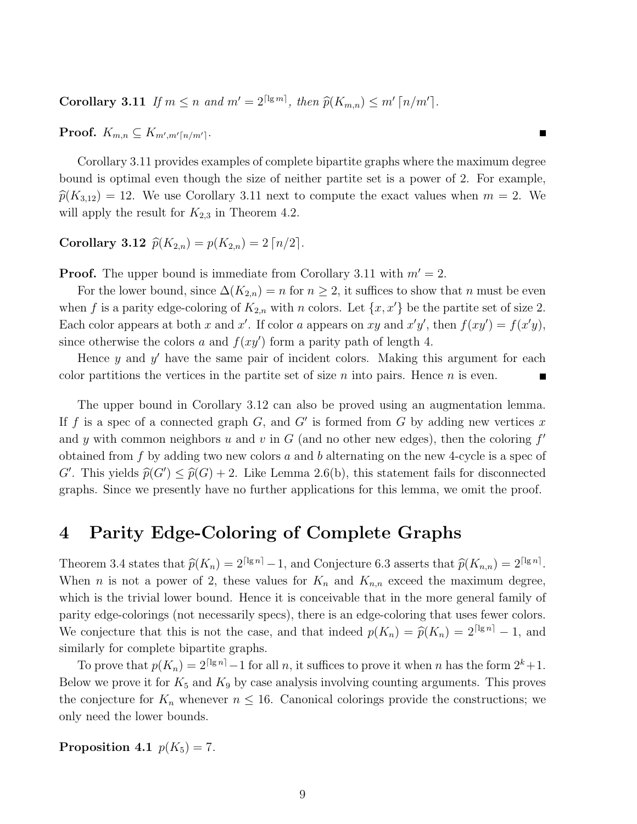Corollary 3.11 If  $m \le n$  and  $m' = 2^{\lceil \lg m \rceil}$ , then  $\widehat{p}(K_{m,n}) \le m' \lceil n/m' \rceil$ .

 $\textbf{Proof.} \ \ K_{m,n} \subseteq K_{m',m'[n/m']}.$ 

Corollary 3.11 provides examples of complete bipartite graphs where the maximum degree bound is optimal even though the size of neither partite set is a power of 2. For example,  $\hat{p}(K_{3,12}) = 12$ . We use Corollary 3.11 next to compute the exact values when  $m = 2$ . We will apply the result for  $K_{2,3}$  in Theorem 4.2.

### Corollary 3.12  $\hat{p}(K_{2,n}) = p(K_{2,n}) = 2 \lceil n/2 \rceil$ .

**Proof.** The upper bound is immediate from Corollary 3.11 with  $m' = 2$ .

For the lower bound, since  $\Delta(K_{2,n}) = n$  for  $n \geq 2$ , it suffices to show that n must be even when f is a parity edge-coloring of  $K_{2,n}$  with n colors. Let  $\{x, x'\}$  be the partite set of size 2. Each color appears at both x and x'. If color a appears on xy and  $x'y'$ , then  $f(xy') = f(x'y)$ , since otherwise the colors a and  $f(xy')$  form a parity path of length 4.

Hence  $y$  and  $y'$  have the same pair of incident colors. Making this argument for each color partitions the vertices in the partite set of size n into pairs. Hence  $n$  is even.

The upper bound in Corollary 3.12 can also be proved using an augmentation lemma. If f is a spec of a connected graph  $G$ , and  $G'$  is formed from G by adding new vertices x and y with common neighbors u and v in  $G$  (and no other new edges), then the coloring  $f'$ obtained from f by adding two new colors a and b alternating on the new 4-cycle is a spec of G'. This yields  $\widehat{p}(G') \leq \widehat{p}(G) + 2$ . Like Lemma 2.6(b), this statement fails for disconnected graphs. Since we presently have no further applications for this lemma, we omit the proof.

### 4 Parity Edge-Coloring of Complete Graphs

Theorem 3.4 states that  $\widehat{p}(K_n) = 2^{\lceil \lg n \rceil} - 1$ , and Conjecture 6.3 asserts that  $\widehat{p}(K_{n,n}) = 2^{\lceil \lg n \rceil}$ . When *n* is not a power of 2, these values for  $K_n$  and  $K_{n,n}$  exceed the maximum degree, which is the trivial lower bound. Hence it is conceivable that in the more general family of parity edge-colorings (not necessarily specs), there is an edge-coloring that uses fewer colors. We conjecture that this is not the case, and that indeed  $p(K_n) = \hat{p}(K_n) = 2^{\lceil \lg n \rceil} - 1$ , and similarly for complete bipartite graphs.

To prove that  $p(K_n) = 2^{\lceil \lg n \rceil} - 1$  for all n, it suffices to prove it when n has the form  $2^k + 1$ . Below we prove it for  $K_5$  and  $K_9$  by case analysis involving counting arguments. This proves the conjecture for  $K_n$  whenever  $n \leq 16$ . Canonical colorings provide the constructions; we only need the lower bounds.

Proposition 4.1  $p(K_5) = 7$ .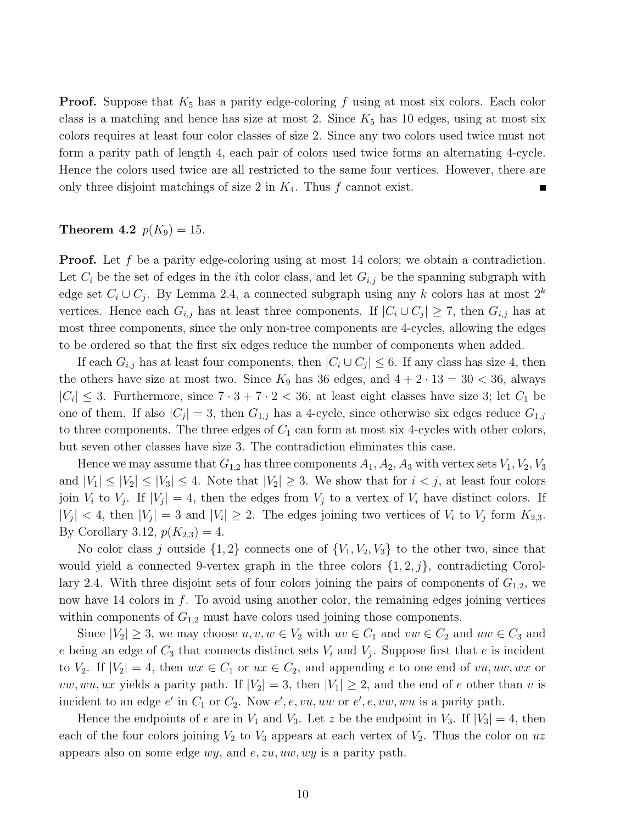**Proof.** Suppose that  $K_5$  has a parity edge-coloring f using at most six colors. Each color class is a matching and hence has size at most 2. Since  $K_5$  has 10 edges, using at most six colors requires at least four color classes of size 2. Since any two colors used twice must not form a parity path of length 4, each pair of colors used twice forms an alternating 4-cycle. Hence the colors used twice are all restricted to the same four vertices. However, there are only three disjoint matchings of size 2 in  $K_4$ . Thus f cannot exist.

#### **Theorem 4.2**  $p(K_9) = 15$ .

**Proof.** Let f be a parity edge-coloring using at most 14 colors; we obtain a contradiction. Let  $C_i$  be the set of edges in the *i*th color class, and let  $G_{i,j}$  be the spanning subgraph with edge set  $C_i \cup C_j$ . By Lemma 2.4, a connected subgraph using any k colors has at most  $2^k$ vertices. Hence each  $G_{i,j}$  has at least three components. If  $|C_i \cup C_j| \geq 7$ , then  $G_{i,j}$  has at most three components, since the only non-tree components are 4-cycles, allowing the edges to be ordered so that the first six edges reduce the number of components when added.

If each  $G_{i,j}$  has at least four components, then  $|C_i \cup C_j| \leq 6$ . If any class has size 4, then the others have size at most two. Since  $K_9$  has 36 edges, and  $4 + 2 \cdot 13 = 30 < 36$ , always  $|C_i| \leq 3$ . Furthermore, since  $7 \cdot 3 + 7 \cdot 2 < 36$ , at least eight classes have size 3; let  $C_1$  be one of them. If also  $|C_j| = 3$ , then  $G_{1,j}$  has a 4-cycle, since otherwise six edges reduce  $G_{1,j}$ to three components. The three edges of  $C_1$  can form at most six 4-cycles with other colors, but seven other classes have size 3. The contradiction eliminates this case.

Hence we may assume that  $G_{1,2}$  has three components  $A_1, A_2, A_3$  with vertex sets  $V_1, V_2, V_3$ and  $|V_1| \leq |V_2| \leq |V_3| \leq 4$ . Note that  $|V_2| \geq 3$ . We show that for  $i < j$ , at least four colors join  $V_i$  to  $V_j$ . If  $|V_j| = 4$ , then the edges from  $V_j$  to a vertex of  $V_i$  have distinct colors. If  $|V_j|$  < 4, then  $|V_j| = 3$  and  $|V_i| \ge 2$ . The edges joining two vertices of  $V_i$  to  $V_j$  form  $K_{2,3}$ . By Corollary 3.12,  $p(K_{2,3}) = 4$ .

No color class j outside  $\{1, 2\}$  connects one of  $\{V_1, V_2, V_3\}$  to the other two, since that would yield a connected 9-vertex graph in the three colors  $\{1, 2, j\}$ , contradicting Corollary 2.4. With three disjoint sets of four colors joining the pairs of components of  $G_{1,2}$ , we now have 14 colors in  $f$ . To avoid using another color, the remaining edges joining vertices within components of  $G_{1,2}$  must have colors used joining those components.

Since  $|V_2| \geq 3$ , we may choose  $u, v, w \in V_2$  with  $uv \in C_1$  and  $vw \in C_2$  and  $uw \in C_3$  and e being an edge of  $C_3$  that connects distinct sets  $V_i$  and  $V_j$ . Suppose first that e is incident to  $V_2$ . If  $|V_2| = 4$ , then  $wx \in C_1$  or  $ux \in C_2$ , and appending e to one end of  $vu, uw, wx$  or  $vw, wu, ux$  yields a parity path. If  $|V_2| = 3$ , then  $|V_1| \geq 2$ , and the end of e other than v is incident to an edge  $e'$  in  $C_1$  or  $C_2$ . Now  $e', e, vu, uw$  or  $e', e, vw, wu$  is a parity path.

Hence the endpoints of e are in  $V_1$  and  $V_3$ . Let z be the endpoint in  $V_3$ . If  $|V_3| = 4$ , then each of the four colors joining  $V_2$  to  $V_3$  appears at each vertex of  $V_2$ . Thus the color on uz appears also on some edge  $wy$ , and  $e$ ,  $zu$ ,  $uw$ ,  $wy$  is a parity path.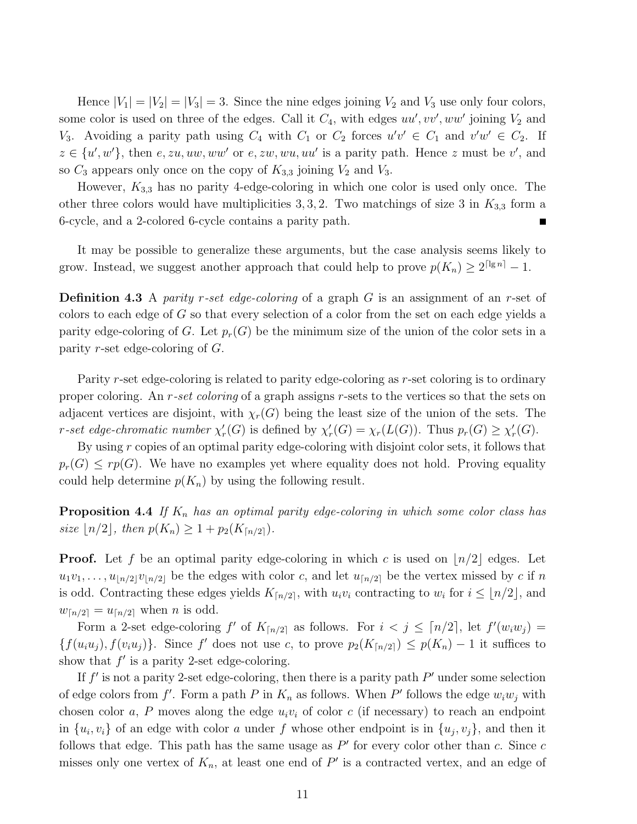Hence  $|V_1| = |V_2| = |V_3| = 3$ . Since the nine edges joining  $V_2$  and  $V_3$  use only four colors, some color is used on three of the edges. Call it  $C_4$ , with edges  $uu', vv', ww'$  joining  $V_2$  and  $V_3$ . Avoiding a parity path using  $C_4$  with  $C_1$  or  $C_2$  forces  $u'v' \in C_1$  and  $v'w' \in C_2$ . If  $z \in \{u',w'\},\$  then  $e, zu, uw, ww'$  or  $e, zw, wu, uu'$  is a parity path. Hence z must be v', and so  $C_3$  appears only once on the copy of  $K_{3,3}$  joining  $V_2$  and  $V_3$ .

However,  $K_{3,3}$  has no parity 4-edge-coloring in which one color is used only once. The other three colors would have multiplicities 3, 3, 2. Two matchings of size 3 in  $K_{3,3}$  form a 6-cycle, and a 2-colored 6-cycle contains a parity path.

It may be possible to generalize these arguments, but the case analysis seems likely to grow. Instead, we suggest another approach that could help to prove  $p(K_n) \geq 2^{\lceil \lg n \rceil} - 1$ .

**Definition 4.3** A parity r-set edge-coloring of a graph G is an assignment of an r-set of colors to each edge of  $G$  so that every selection of a color from the set on each edge yields a parity edge-coloring of G. Let  $p_r(G)$  be the minimum size of the union of the color sets in a parity r-set edge-coloring of  $G$ .

Parity r-set edge-coloring is related to parity edge-coloring as r-set coloring is to ordinary proper coloring. An r-set coloring of a graph assigns r-sets to the vertices so that the sets on adjacent vertices are disjoint, with  $\chi_r(G)$  being the least size of the union of the sets. The r-set edge-chromatic number  $\chi'_r(G)$  is defined by  $\chi'_r(G) = \chi_r(L(G))$ . Thus  $p_r(G) \geq \chi'_r(G)$ .

By using r copies of an optimal parity edge-coloring with disjoint color sets, it follows that  $p_r(G) \leq rp(G)$ . We have no examples yet where equality does not hold. Proving equality could help determine  $p(K_n)$  by using the following result.

**Proposition 4.4** If  $K_n$  has an optimal parity edge-coloring in which some color class has size  $\lfloor n/2 \rfloor$ , then  $p(K_n) \geq 1 + p_2(K_{\lceil n/2 \rceil}).$ 

**Proof.** Let f be an optimal parity edge-coloring in which c is used on  $\lfloor n/2 \rfloor$  edges. Let  $u_1v_1, \ldots, u_{\lfloor n/2\rfloor}v_{\lfloor n/2\rfloor}$  be the edges with color c, and let  $u_{\lfloor n/2\rfloor}$  be the vertex missed by c if n is odd. Contracting these edges yields  $K_{\lceil n/2 \rceil}$ , with  $u_i v_i$  contracting to  $w_i$  for  $i \leq \lfloor n/2 \rfloor$ , and  $w_{\lceil n/2 \rceil} = u_{\lceil n/2 \rceil}$  when n is odd.

Form a 2-set edge-coloring  $f'$  of  $K_{\lceil n/2 \rceil}$  as follows. For  $i < j \leq \lceil n/2 \rceil$ , let  $f'(w_iw_j) =$  $\{f(u_iu_j), f(v_iu_j)\}\.$  Since f' does not use c, to prove  $p_2(K_{\lceil n/2 \rceil}) \leq p(K_n) - 1$  it suffices to show that  $f'$  is a parity 2-set edge-coloring.

If  $f'$  is not a parity 2-set edge-coloring, then there is a parity path  $P'$  under some selection of edge colors from  $f'$ . Form a path P in  $K_n$  as follows. When P' follows the edge  $w_iw_j$  with chosen color a, P moves along the edge  $u_i v_i$  of color c (if necessary) to reach an endpoint in  $\{u_i, v_i\}$  of an edge with color a under f whose other endpoint is in  $\{u_j, v_j\}$ , and then it follows that edge. This path has the same usage as  $P'$  for every color other than c. Since c misses only one vertex of  $K_n$ , at least one end of  $P'$  is a contracted vertex, and an edge of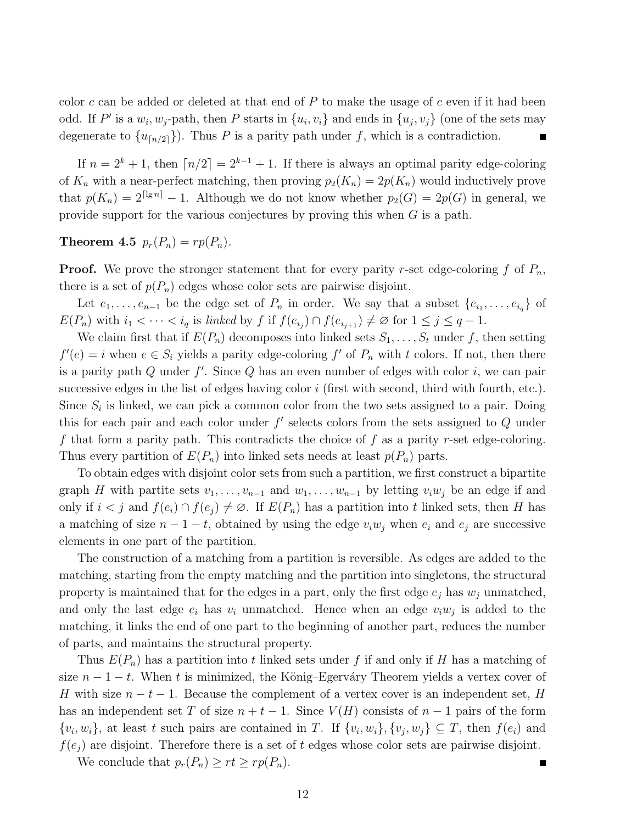color  $c$  can be added or deleted at that end of  $P$  to make the usage of  $c$  even if it had been odd. If P' is a  $w_i, w_j$ -path, then P starts in  $\{u_i, v_i\}$  and ends in  $\{u_j, v_j\}$  (one of the sets may degenerate to  $\{u_{\lceil n/2 \rceil}\}\)$ . Thus P is a parity path under f, which is a contradiction.

If  $n = 2<sup>k</sup> + 1$ , then  $\lceil n/2 \rceil = 2<sup>k-1</sup> + 1$ . If there is always an optimal parity edge-coloring of  $K_n$  with a near-perfect matching, then proving  $p_2(K_n) = 2p(K_n)$  would inductively prove that  $p(K_n) = 2^{\lceil \lg n \rceil} - 1$ . Although we do not know whether  $p_2(G) = 2p(G)$  in general, we provide support for the various conjectures by proving this when  $G$  is a path.

Theorem 4.5  $p_r(P_n) = rp(P_n)$ .

**Proof.** We prove the stronger statement that for every parity r-set edge-coloring f of  $P_n$ , there is a set of  $p(P_n)$  edges whose color sets are pairwise disjoint.

Let  $e_1, \ldots, e_{n-1}$  be the edge set of  $P_n$  in order. We say that a subset  $\{e_{i_1}, \ldots, e_{i_q}\}$  of  $E(P_n)$  with  $i_1 < \cdots < i_q$  is linked by f if  $f(e_{i_j}) \cap f(e_{i_{j+1}}) \neq \emptyset$  for  $1 \leq j \leq q-1$ .

We claim first that if  $E(P_n)$  decomposes into linked sets  $S_1, \ldots, S_t$  under f, then setting  $f'(e) = i$  when  $e \in S_i$  yields a parity edge-coloring  $f'$  of  $P_n$  with t colors. If not, then there is a parity path  $Q$  under  $f'$ . Since  $Q$  has an even number of edges with color  $i$ , we can pair successive edges in the list of edges having color  $i$  (first with second, third with fourth, etc.). Since  $S_i$  is linked, we can pick a common color from the two sets assigned to a pair. Doing this for each pair and each color under  $f'$  selects colors from the sets assigned to  $Q$  under f that form a parity path. This contradicts the choice of f as a parity r-set edge-coloring. Thus every partition of  $E(P_n)$  into linked sets needs at least  $p(P_n)$  parts.

To obtain edges with disjoint color sets from such a partition, we first construct a bipartite graph H with partite sets  $v_1, \ldots, v_{n-1}$  and  $w_1, \ldots, w_{n-1}$  by letting  $v_iw_j$  be an edge if and only if  $i < j$  and  $f(e_i) \cap f(e_j) \neq \emptyset$ . If  $E(P_n)$  has a partition into t linked sets, then H has a matching of size  $n-1-t$ , obtained by using the edge  $v_iw_j$  when  $e_i$  and  $e_j$  are successive elements in one part of the partition.

The construction of a matching from a partition is reversible. As edges are added to the matching, starting from the empty matching and the partition into singletons, the structural property is maintained that for the edges in a part, only the first edge  $e_j$  has  $w_j$  unmatched, and only the last edge  $e_i$  has  $v_i$  unmatched. Hence when an edge  $v_iw_j$  is added to the matching, it links the end of one part to the beginning of another part, reduces the number of parts, and maintains the structural property.

Thus  $E(P_n)$  has a partition into t linked sets under f if and only if H has a matching of size  $n-1-t$ . When t is minimized, the König–Egerváry Theorem yields a vertex cover of H with size  $n-t-1$ . Because the complement of a vertex cover is an independent set, H has an independent set T of size  $n + t - 1$ . Since  $V(H)$  consists of  $n - 1$  pairs of the form  $\{v_i, w_i\}$ , at least t such pairs are contained in T. If  $\{v_i, w_i\}$ ,  $\{v_j, w_j\} \subseteq T$ , then  $f(e_i)$  and  $f(e_i)$  are disjoint. Therefore there is a set of t edges whose color sets are pairwise disjoint.

We conclude that  $p_r(P_n) \geq rt \geq rp(P_n)$ .

п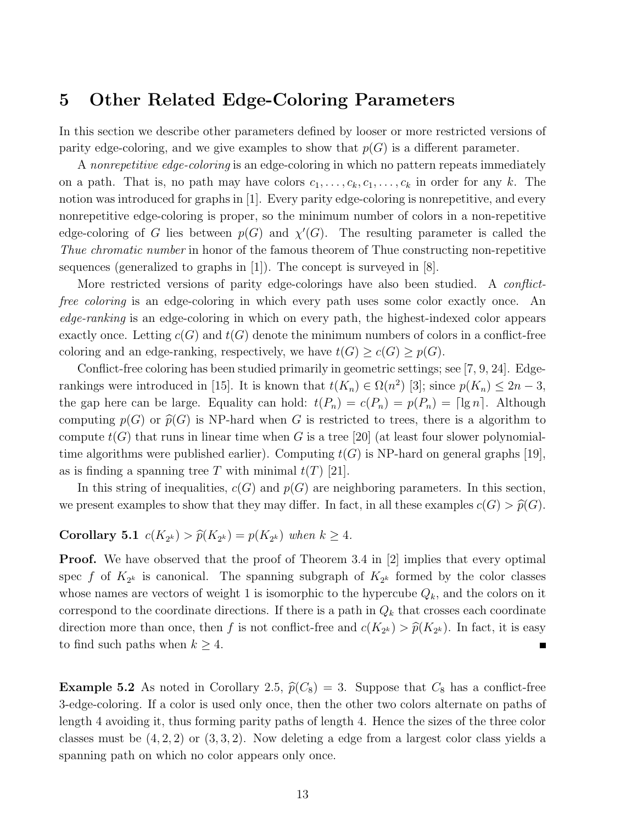### 5 Other Related Edge-Coloring Parameters

In this section we describe other parameters defined by looser or more restricted versions of parity edge-coloring, and we give examples to show that  $p(G)$  is a different parameter.

A nonrepetitive edge-coloring is an edge-coloring in which no pattern repeats immediately on a path. That is, no path may have colors  $c_1, \ldots, c_k, c_1, \ldots, c_k$  in order for any k. The notion was introduced for graphs in [1]. Every parity edge-coloring is nonrepetitive, and every nonrepetitive edge-coloring is proper, so the minimum number of colors in a non-repetitive edge-coloring of G lies between  $p(G)$  and  $\chi'(G)$ . The resulting parameter is called the Thue chromatic number in honor of the famous theorem of Thue constructing non-repetitive sequences (generalized to graphs in  $[1]$ ). The concept is surveyed in  $[8]$ .

More restricted versions of parity edge-colorings have also been studied. A *conflict*free coloring is an edge-coloring in which every path uses some color exactly once. An edge-ranking is an edge-coloring in which on every path, the highest-indexed color appears exactly once. Letting  $c(G)$  and  $t(G)$  denote the minimum numbers of colors in a conflict-free coloring and an edge-ranking, respectively, we have  $t(G) \ge c(G) \ge p(G)$ .

Conflict-free coloring has been studied primarily in geometric settings; see [7, 9, 24]. Edgerankings were introduced in [15]. It is known that  $t(K_n) \in \Omega(n^2)$  [3]; since  $p(K_n) \leq 2n-3$ , the gap here can be large. Equality can hold:  $t(P_n) = c(P_n) = p(P_n) = \lceil \lg n \rceil$ . Although computing  $p(G)$  or  $\widehat{p}(G)$  is NP-hard when G is restricted to trees, there is a algorithm to compute  $t(G)$  that runs in linear time when G is a tree [20] (at least four slower polynomialtime algorithms were published earlier). Computing  $t(G)$  is NP-hard on general graphs [19], as is finding a spanning tree T with minimal  $t(T)$  [21].

In this string of inequalities,  $c(G)$  and  $p(G)$  are neighboring parameters. In this section, we present examples to show that they may differ. In fact, in all these examples  $c(G) > \hat{p}(G)$ .

# **Corollary 5.1**  $c(K_{2^k}) > \hat{p}(K_{2^k}) = p(K_{2^k})$  when  $k \geq 4$ .

**Proof.** We have observed that the proof of Theorem 3.4 in [2] implies that every optimal spec f of  $K_{2^k}$  is canonical. The spanning subgraph of  $K_{2^k}$  formed by the color classes whose names are vectors of weight 1 is isomorphic to the hypercube  $Q_k$ , and the colors on it correspond to the coordinate directions. If there is a path in  $Q_k$  that crosses each coordinate direction more than once, then f is not conflict-free and  $c(K_{2^k}) > \hat{p}(K_{2^k})$ . In fact, it is easy to find such paths when  $k \geq 4$ .

**Example 5.2** As noted in Corollary 2.5,  $\hat{p}(C_8) = 3$ . Suppose that  $C_8$  has a conflict-free 3-edge-coloring. If a color is used only once, then the other two colors alternate on paths of length 4 avoiding it, thus forming parity paths of length 4. Hence the sizes of the three color classes must be  $(4, 2, 2)$  or  $(3, 3, 2)$ . Now deleting a edge from a largest color class yields a spanning path on which no color appears only once.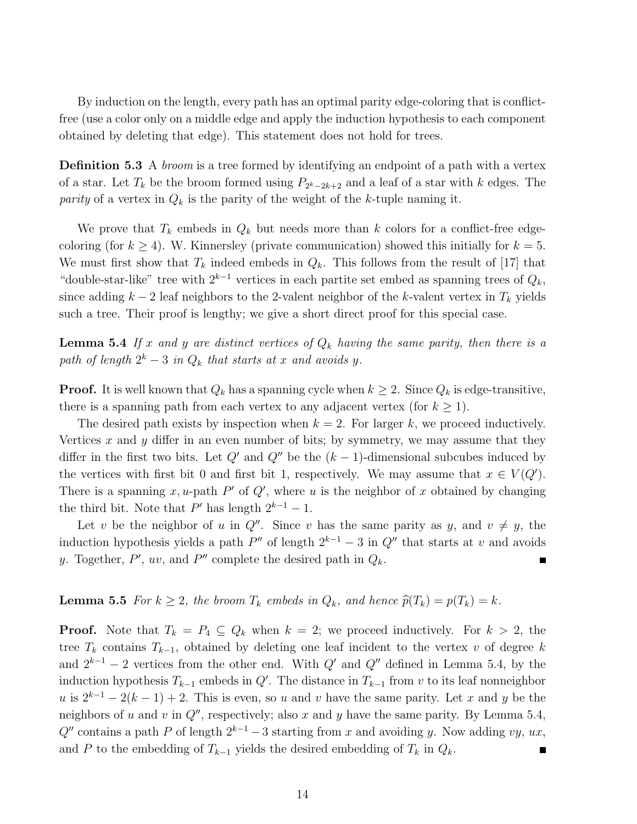By induction on the length, every path has an optimal parity edge-coloring that is conflictfree (use a color only on a middle edge and apply the induction hypothesis to each component obtained by deleting that edge). This statement does not hold for trees.

**Definition 5.3** A *broom* is a tree formed by identifying an endpoint of a path with a vertex of a star. Let  $T_k$  be the broom formed using  $P_{2^k-2k+2}$  and a leaf of a star with k edges. The parity of a vertex in  $Q_k$  is the parity of the weight of the k-tuple naming it.

We prove that  $T_k$  embeds in  $Q_k$  but needs more than k colors for a conflict-free edgecoloring (for  $k \geq 4$ ). W. Kinnersley (private communication) showed this initially for  $k = 5$ . We must first show that  $T_k$  indeed embeds in  $Q_k$ . This follows from the result of [17] that "double-star-like" tree with  $2^{k-1}$  vertices in each partite set embed as spanning trees of  $Q_k$ , since adding  $k-2$  leaf neighbors to the 2-valent neighbor of the k-valent vertex in  $T_k$  yields such a tree. Their proof is lengthy; we give a short direct proof for this special case.

**Lemma 5.4** If x and y are distinct vertices of  $Q_k$  having the same parity, then there is a path of length  $2^k - 3$  in  $Q_k$  that starts at x and avoids y.

**Proof.** It is well known that  $Q_k$  has a spanning cycle when  $k \geq 2$ . Since  $Q_k$  is edge-transitive, there is a spanning path from each vertex to any adjacent vertex (for  $k \geq 1$ ).

The desired path exists by inspection when  $k = 2$ . For larger k, we proceed inductively. Vertices  $x$  and  $y$  differ in an even number of bits; by symmetry, we may assume that they differ in the first two bits. Let  $Q'$  and  $Q''$  be the  $(k-1)$ -dimensional subcubes induced by the vertices with first bit 0 and first bit 1, respectively. We may assume that  $x \in V(Q')$ . There is a spanning x, u-path  $P'$  of  $Q'$ , where u is the neighbor of x obtained by changing the third bit. Note that  $P'$  has length  $2^{k-1} - 1$ .

Let v be the neighbor of u in  $Q''$ . Since v has the same parity as y, and  $v \neq y$ , the induction hypothesis yields a path  $P''$  of length  $2^{k-1} - 3$  in  $Q''$  that starts at v and avoids y. Together,  $P'$ ,  $uv$ , and  $P''$  complete the desired path in  $Q_k$ . п

**Lemma 5.5** For  $k \geq 2$ , the broom  $T_k$  embeds in  $Q_k$ , and hence  $\hat{p}(T_k) = p(T_k) = k$ .

**Proof.** Note that  $T_k = P_4 \subseteq Q_k$  when  $k = 2$ ; we proceed inductively. For  $k > 2$ , the tree  $T_k$  contains  $T_{k-1}$ , obtained by deleting one leaf incident to the vertex v of degree k and  $2^{k-1} - 2$  vertices from the other end. With  $Q'$  and  $Q''$  defined in Lemma 5.4, by the induction hypothesis  $T_{k-1}$  embeds in  $Q'$ . The distance in  $T_{k-1}$  from v to its leaf nonneighbor u is  $2^{k-1} - 2(k-1) + 2$ . This is even, so u and v have the same parity. Let x and y be the neighbors of u and v in  $Q''$ , respectively; also x and y have the same parity. By Lemma 5.4,  $Q''$  contains a path P of length  $2^{k-1} - 3$  starting from x and avoiding y. Now adding vy, ux, and P to the embedding of  $T_{k-1}$  yields the desired embedding of  $T_k$  in  $Q_k$ .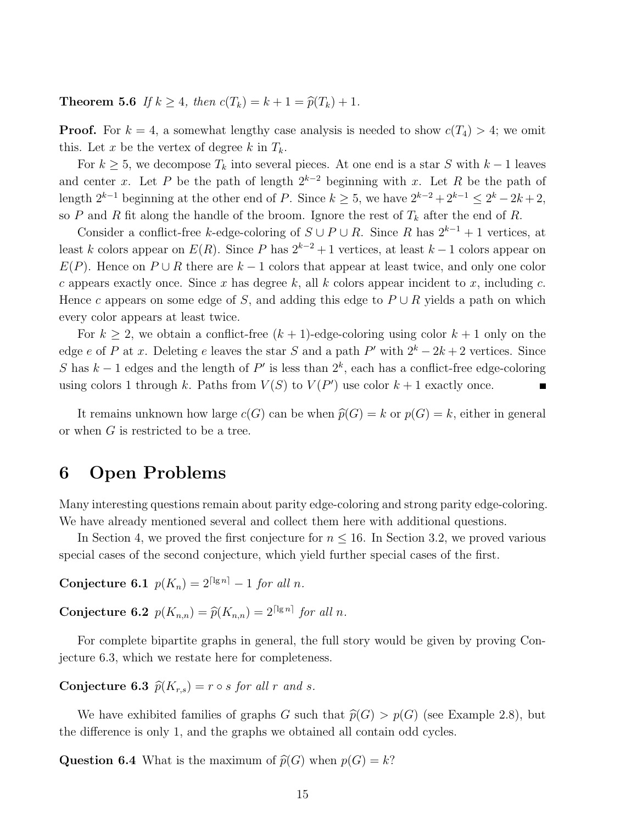**Theorem 5.6** If  $k \geq 4$ , then  $c(T_k) = k + 1 = \hat{p}(T_k) + 1$ .

**Proof.** For  $k = 4$ , a somewhat lengthy case analysis is needed to show  $c(T_4) > 4$ ; we omit this. Let x be the vertex of degree k in  $T_k$ .

For  $k \geq 5$ , we decompose  $T_k$  into several pieces. At one end is a star S with  $k-1$  leaves and center x. Let P be the path of length  $2^{k-2}$  beginning with x. Let R be the path of length  $2^{k-1}$  beginning at the other end of P. Since  $k \geq 5$ , we have  $2^{k-2} + 2^{k-1} \leq 2^k - 2k + 2$ , so P and R fit along the handle of the broom. Ignore the rest of  $T_k$  after the end of R.

Consider a conflict-free k-edge-coloring of  $S \cup P \cup R$ . Since R has  $2^{k-1} + 1$  vertices, at least k colors appear on  $E(R)$ . Since P has  $2^{k-2}+1$  vertices, at least  $k-1$  colors appear on  $E(P)$ . Hence on  $P \cup R$  there are  $k-1$  colors that appear at least twice, and only one color c appears exactly once. Since x has degree k, all k colors appear incident to x, including c. Hence c appears on some edge of S, and adding this edge to  $P \cup R$  yields a path on which every color appears at least twice.

For  $k \geq 2$ , we obtain a conflict-free  $(k + 1)$ -edge-coloring using color  $k + 1$  only on the edge e of P at x. Deleting e leaves the star S and a path P' with  $2^k - 2k + 2$  vertices. Since S has  $k-1$  edges and the length of  $P'$  is less than  $2^k$ , each has a conflict-free edge-coloring using colors 1 through k. Paths from  $V(S)$  to  $V(P')$  use color  $k+1$  exactly once.

It remains unknown how large  $c(G)$  can be when  $\hat{p}(G) = k$  or  $p(G) = k$ , either in general or when G is restricted to be a tree.

### 6 Open Problems

Many interesting questions remain about parity edge-coloring and strong parity edge-coloring. We have already mentioned several and collect them here with additional questions.

In Section 4, we proved the first conjecture for  $n \leq 16$ . In Section 3.2, we proved various special cases of the second conjecture, which yield further special cases of the first.

Conjecture 6.1  $p(K_n) = 2^{\lceil \lg n \rceil} - 1$  for all n.

**Conjecture 6.2**  $p(K_{n,n}) = \widehat{p}(K_{n,n}) = 2^{\lceil \lg n \rceil}$  for all n.

For complete bipartite graphs in general, the full story would be given by proving Conjecture 6.3, which we restate here for completeness.

Conjecture 6.3  $\hat{p}(K_{r,s}) = r \circ s$  for all r and s.

We have exhibited families of graphs G such that  $\hat{p}(G) > p(G)$  (see Example 2.8), but the difference is only 1, and the graphs we obtained all contain odd cycles.

**Question 6.4** What is the maximum of  $\widehat{p}(G)$  when  $p(G) = k$ ?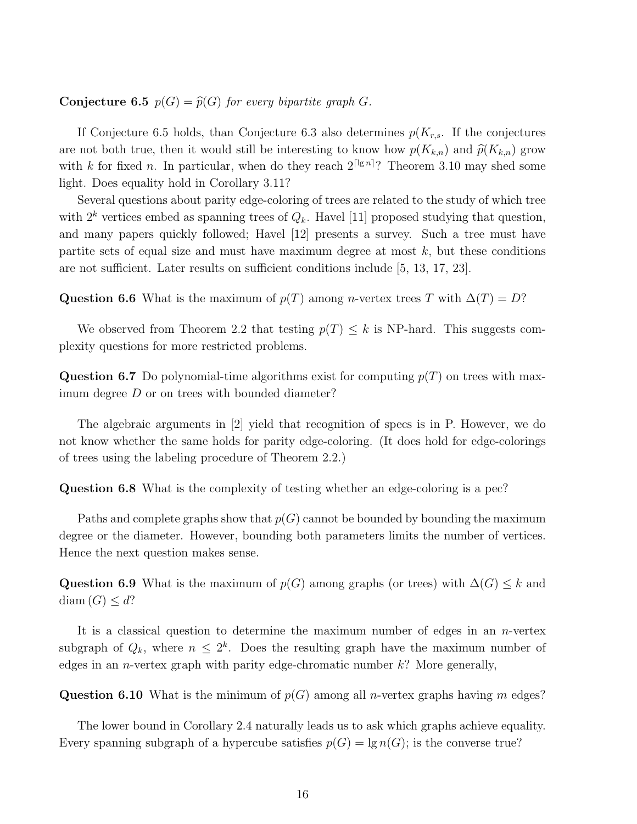**Conjecture 6.5**  $p(G) = \hat{p}(G)$  for every bipartite graph G.

If Conjecture 6.5 holds, than Conjecture 6.3 also determines  $p(K_{r,s})$ . If the conjectures are not both true, then it would still be interesting to know how  $p(K_{k,n})$  and  $\hat{p}(K_{k,n})$  grow with k for fixed n. In particular, when do they reach  $2^{\lceil \lg n \rceil}$ ? Theorem 3.10 may shed some light. Does equality hold in Corollary 3.11?

Several questions about parity edge-coloring of trees are related to the study of which tree with  $2^k$  vertices embed as spanning trees of  $Q_k$ . Havel [11] proposed studying that question, and many papers quickly followed; Havel [12] presents a survey. Such a tree must have partite sets of equal size and must have maximum degree at most  $k$ , but these conditions are not sufficient. Later results on sufficient conditions include [5, 13, 17, 23].

Question 6.6 What is the maximum of  $p(T)$  among n-vertex trees T with  $\Delta(T) = D$ ?

We observed from Theorem 2.2 that testing  $p(T) \leq k$  is NP-hard. This suggests complexity questions for more restricted problems.

**Question 6.7** Do polynomial-time algorithms exist for computing  $p(T)$  on trees with maximum degree D or on trees with bounded diameter?

The algebraic arguments in [2] yield that recognition of specs is in P. However, we do not know whether the same holds for parity edge-coloring. (It does hold for edge-colorings of trees using the labeling procedure of Theorem 2.2.)

Question 6.8 What is the complexity of testing whether an edge-coloring is a pec?

Paths and complete graphs show that  $p(G)$  cannot be bounded by bounding the maximum degree or the diameter. However, bounding both parameters limits the number of vertices. Hence the next question makes sense.

Question 6.9 What is the maximum of  $p(G)$  among graphs (or trees) with  $\Delta(G) \leq k$  and diam  $(G) \leq d$ ?

It is a classical question to determine the maximum number of edges in an  $n$ -vertex subgraph of  $Q_k$ , where  $n \leq 2^k$ . Does the resulting graph have the maximum number of edges in an *n*-vertex graph with parity edge-chromatic number  $k$ ? More generally,

**Question 6.10** What is the minimum of  $p(G)$  among all *n*-vertex graphs having m edges?

The lower bound in Corollary 2.4 naturally leads us to ask which graphs achieve equality. Every spanning subgraph of a hypercube satisfies  $p(G) = \lg n(G)$ ; is the converse true?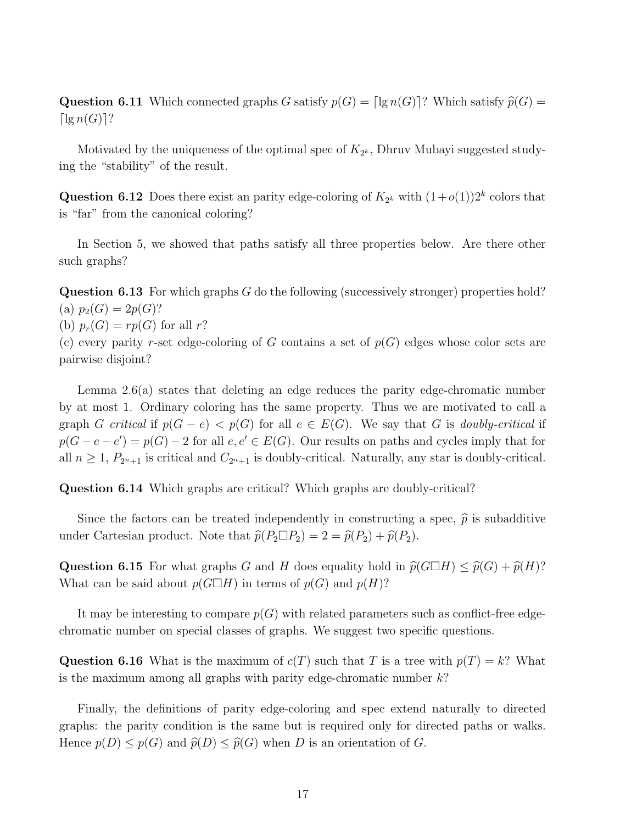**Question 6.11** Which connected graphs G satisfy  $p(G) = \lceil \lg n(G) \rceil$ ? Which satisfy  $\widehat{p}(G) =$  $\lceil \lg n(G) \rceil$ ?

Motivated by the uniqueness of the optimal spec of  $K_{2^k}$ , Dhruv Mubayi suggested studying the "stability" of the result.

**Question 6.12** Does there exist an parity edge-coloring of  $K_{2^k}$  with  $(1+o(1))2^k$  colors that is "far" from the canonical coloring?

In Section 5, we showed that paths satisfy all three properties below. Are there other such graphs?

**Question 6.13** For which graphs  $G$  do the following (successively stronger) properties hold? (a)  $p_2(G) = 2p(G)$ ?

(b)  $p_r(G) = rp(G)$  for all r?

(c) every parity r-set edge-coloring of G contains a set of  $p(G)$  edges whose color sets are pairwise disjoint?

Lemma 2.6(a) states that deleting an edge reduces the parity edge-chromatic number by at most 1. Ordinary coloring has the same property. Thus we are motivated to call a graph G critical if  $p(G - e) < p(G)$  for all  $e \in E(G)$ . We say that G is doubly-critical if  $p(G - e - e') = p(G) - 2$  for all  $e, e' \in E(G)$ . Our results on paths and cycles imply that for all  $n \geq 1$ ,  $P_{2n+1}$  is critical and  $C_{2n+1}$  is doubly-critical. Naturally, any star is doubly-critical.

Question 6.14 Which graphs are critical? Which graphs are doubly-critical?

Since the factors can be treated independently in constructing a spec,  $\hat{p}$  is subadditive under Cartesian product. Note that  $\hat{p}(P_2 \Box P_2) = 2 = \hat{p}(P_2) + \hat{p}(P_2)$ .

Question 6.15 For what graphs G and H does equality hold in  $\hat{p}(G\Box H) \leq \hat{p}(G) + \hat{p}(H)$ ? What can be said about  $p(G \Box H)$  in terms of  $p(G)$  and  $p(H)$ ?

It may be interesting to compare  $p(G)$  with related parameters such as conflict-free edgechromatic number on special classes of graphs. We suggest two specific questions.

Question 6.16 What is the maximum of  $c(T)$  such that T is a tree with  $p(T) = k$ ? What is the maximum among all graphs with parity edge-chromatic number  $k$ ?

Finally, the definitions of parity edge-coloring and spec extend naturally to directed graphs: the parity condition is the same but is required only for directed paths or walks. Hence  $p(D) \leq p(G)$  and  $\widehat{p}(D) \leq \widehat{p}(G)$  when D is an orientation of G.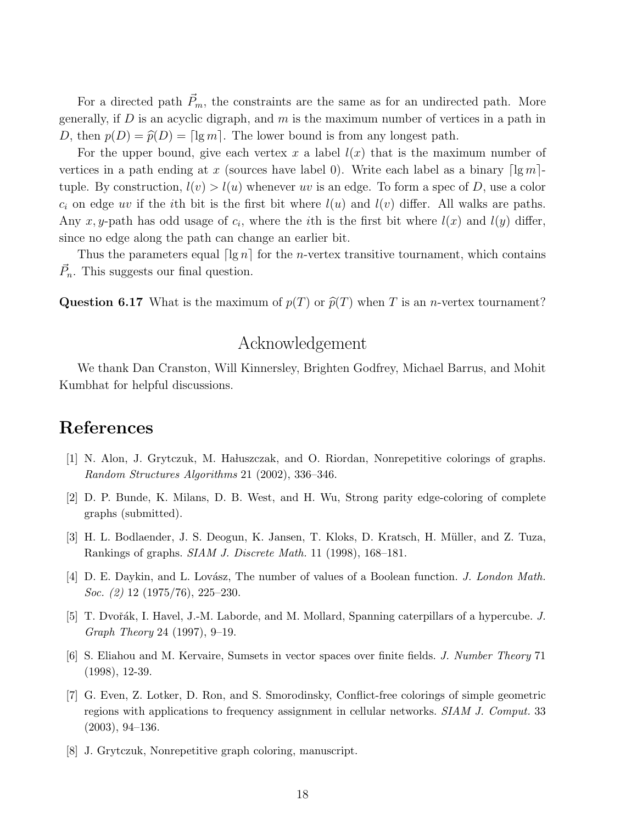For a directed path  $\vec{P}_m$ , the constraints are the same as for an undirected path. More generally, if  $D$  is an acyclic digraph, and  $m$  is the maximum number of vertices in a path in D, then  $p(D) = \hat{p}(D) = \lceil \lg m \rceil$ . The lower bound is from any longest path.

For the upper bound, give each vertex x a label  $l(x)$  that is the maximum number of vertices in a path ending at x (sources have label 0). Write each label as a binary  $\lceil \lg m \rceil$ tuple. By construction,  $l(v) > l(u)$  whenever uv is an edge. To form a spec of D, use a color  $c_i$  on edge uv if the *i*th bit is the first bit where  $l(u)$  and  $l(v)$  differ. All walks are paths. Any x, y-path has odd usage of  $c_i$ , where the *i*th is the first bit where  $l(x)$  and  $l(y)$  differ, since no edge along the path can change an earlier bit.

Thus the parameters equal  $\lceil \lg n \rceil$  for the *n*-vertex transitive tournament, which contains  $\vec{P}_n$ . This suggests our final question.

**Question 6.17** What is the maximum of  $p(T)$  or  $\widehat{p}(T)$  when T is an *n*-vertex tournament?

# Acknowledgement

We thank Dan Cranston, Will Kinnersley, Brighten Godfrey, Michael Barrus, and Mohit Kumbhat for helpful discussions.

# References

- [1] N. Alon, J. Grytczuk, M. Haluszczak, and O. Riordan, Nonrepetitive colorings of graphs. Random Structures Algorithms 21 (2002), 336–346.
- [2] D. P. Bunde, K. Milans, D. B. West, and H. Wu, Strong parity edge-coloring of complete graphs (submitted).
- [3] H. L. Bodlaender, J. S. Deogun, K. Jansen, T. Kloks, D. Kratsch, H. M¨uller, and Z. Tuza, Rankings of graphs. SIAM J. Discrete Math. 11 (1998), 168–181.
- [4] D. E. Daykin, and L. Lovász, The number of values of a Boolean function. J. London Math. Soc. (2) 12 (1975/76), 225–230.
- [5] T. Dvořák, I. Havel, J.-M. Laborde, and M. Mollard, Spanning caterpillars of a hypercube. J. Graph Theory 24 (1997), 9–19.
- [6] S. Eliahou and M. Kervaire, Sumsets in vector spaces over finite fields. J. Number Theory 71 (1998), 12-39.
- [7] G. Even, Z. Lotker, D. Ron, and S. Smorodinsky, Conflict-free colorings of simple geometric regions with applications to frequency assignment in cellular networks. SIAM J. Comput. 33 (2003), 94–136.
- [8] J. Grytczuk, Nonrepetitive graph coloring, manuscript.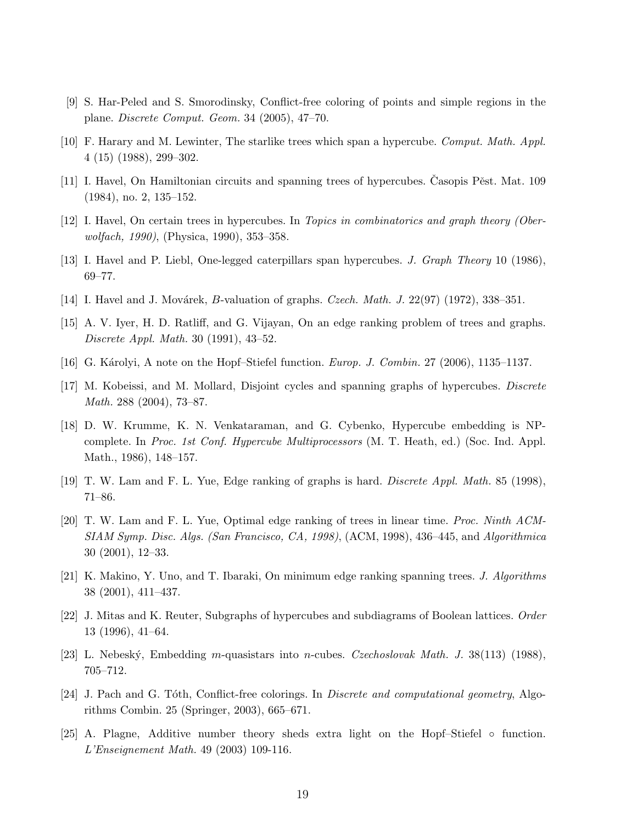- [9] S. Har-Peled and S. Smorodinsky, Conflict-free coloring of points and simple regions in the plane. Discrete Comput. Geom. 34 (2005), 47–70.
- [10] F. Harary and M. Lewinter, The starlike trees which span a hypercube. Comput. Math. Appl. 4 (15) (1988), 299–302.
- [11] I. Havel, On Hamiltonian circuits and spanning trees of hypercubes. Casopis Pěst. Mat. 109 (1984), no. 2, 135–152.
- [12] I. Havel, On certain trees in hypercubes. In Topics in combinatorics and graph theory (Oberwolfach, 1990), (Physica, 1990), 353–358.
- [13] I. Havel and P. Liebl, One-legged caterpillars span hypercubes. J. Graph Theory 10 (1986), 69–77.
- [14] I. Havel and J. Movárek, B-valuation of graphs. Czech. Math. J.  $22(97)$  (1972), 338–351.
- [15] A. V. Iyer, H. D. Ratliff, and G. Vijayan, On an edge ranking problem of trees and graphs. Discrete Appl. Math. 30 (1991), 43–52.
- [16] G. Károlyi, A note on the Hopf–Stiefel function. *Europ. J. Combin.* 27 (2006), 1135–1137.
- [17] M. Kobeissi, and M. Mollard, Disjoint cycles and spanning graphs of hypercubes. Discrete Math. 288 (2004), 73–87.
- [18] D. W. Krumme, K. N. Venkataraman, and G. Cybenko, Hypercube embedding is NPcomplete. In Proc. 1st Conf. Hypercube Multiprocessors (M. T. Heath, ed.) (Soc. Ind. Appl. Math., 1986), 148–157.
- [19] T. W. Lam and F. L. Yue, Edge ranking of graphs is hard. Discrete Appl. Math. 85 (1998), 71–86.
- [20] T. W. Lam and F. L. Yue, Optimal edge ranking of trees in linear time. Proc. Ninth ACM-SIAM Symp. Disc. Algs. (San Francisco, CA, 1998), (ACM, 1998), 436–445, and Algorithmica 30 (2001), 12–33.
- [21] K. Makino, Y. Uno, and T. Ibaraki, On minimum edge ranking spanning trees. J. Algorithms 38 (2001), 411–437.
- [22] J. Mitas and K. Reuter, Subgraphs of hypercubes and subdiagrams of Boolean lattices. Order 13 (1996), 41–64.
- [23] L. Nebeský, Embedding m-quasistars into n-cubes. Czechoslovak Math. J. 38(113) (1988), 705–712.
- [24] J. Pach and G. Toth, Conflict-free colorings. In *Discrete and computational geometry*, Algorithms Combin. 25 (Springer, 2003), 665–671.
- [25] A. Plagne, Additive number theory sheds extra light on the Hopf–Stiefel function. L'Enseignement Math. 49 (2003) 109-116.